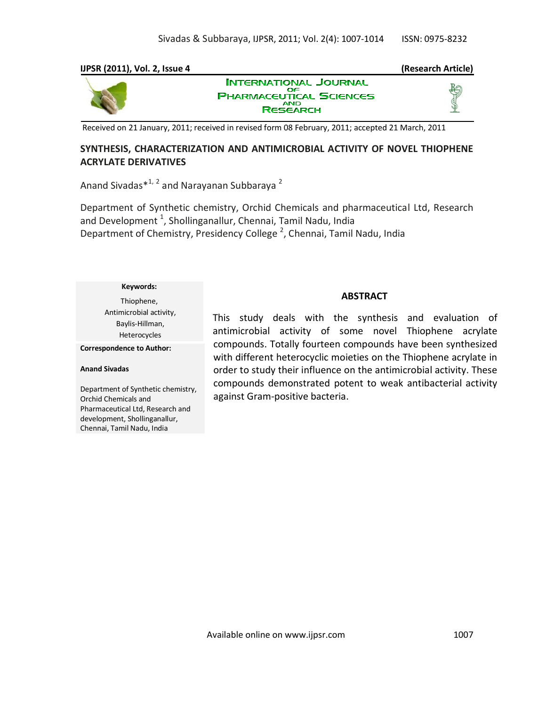### **IJPSR (2011), Vol. 2, Issue 4 (Research Article)**



**INTERNATIONAL JOURNAL** OΕ **PHARMACEUTICAL SCIENCES RESEARCH** 



Received on 21 January, 2011; received in revised form 08 February, 2011; accepted 21 March, 2011

# **SYNTHESIS, CHARACTERIZATION AND ANTIMICROBIAL ACTIVITY OF NOVEL THIOPHENE ACRYLATE DERIVATIVES**

Anand Sivadas\*<sup>1, 2</sup> and Narayanan Subbaraya <sup>2</sup>

Department of Synthetic chemistry, Orchid Chemicals and pharmaceutical Ltd, Research and Development  $^1$ , Shollinganallur, Chennai, Tamil Nadu, India Department of Chemistry, Presidency College<sup>2</sup>, Chennai, Tamil Nadu, India

#### **Keywords:**

Thiophene, Antimicrobial activity, Baylis-Hillman, Heterocycles

**Correspondence to Author:**

#### **Anand Sivadas**

Department of Synthetic chemistry, Orchid Chemicals and Pharmaceutical Ltd, Research and development, Shollinganallur, Chennai, Tamil Nadu, India

# **ABSTRACT**

This study deals with the synthesis and evaluation of antimicrobial activity of some novel Thiophene acrylate compounds. Totally fourteen compounds have been synthesized with different heterocyclic moieties on the Thiophene acrylate in order to study their influence on the antimicrobial activity. These compounds demonstrated potent to weak antibacterial activity against Gram-positive bacteria.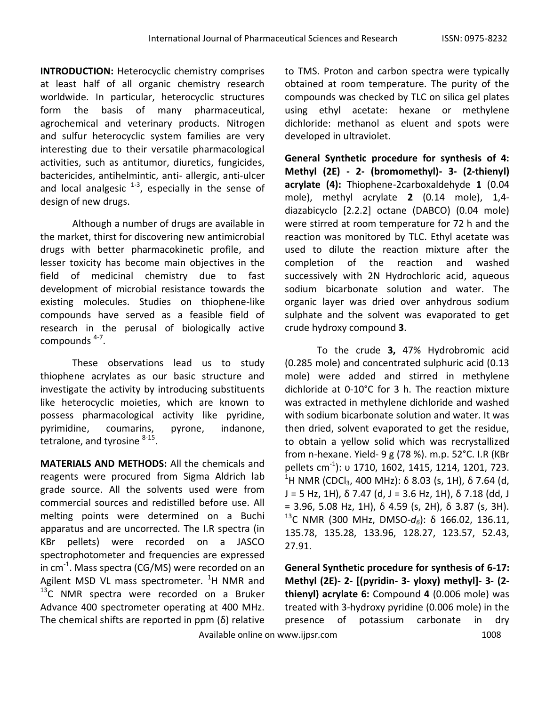**INTRODUCTION:** Heterocyclic chemistry comprises at least half of all organic chemistry research worldwide. In particular, heterocyclic structures form the basis of many pharmaceutical, agrochemical and veterinary products. Nitrogen and sulfur heterocyclic system families are very interesting due to their versatile pharmacological activities, such as antitumor, diuretics, fungicides, bactericides, antihelmintic, anti- allergic, anti-ulcer and local analgesic  $1-3$ , especially in the sense of design of new drugs.

Although a number of drugs are available in the market, thirst for discovering new antimicrobial drugs with better pharmacokinetic profile, and lesser toxicity has become main objectives in the field of medicinal chemistry due to fast development of microbial resistance towards the existing molecules. Studies on thiophene-like compounds have served as a feasible field of research in the perusal of biologically active compounds<sup>4-7</sup>.

These observations lead us to study thiophene acrylates as our basic structure and investigate the activity by introducing substituents like heterocyclic moieties, which are known to possess pharmacological activity like pyridine, pyrimidine, coumarins, pyrone, indanone, tetralone, and tyrosine <sup>8-15</sup>.

**MATERIALS AND METHODS:** All the chemicals and reagents were procured from Sigma Aldrich lab grade source. All the solvents used were from commercial sources and redistilled before use. All melting points were determined on a Buchi apparatus and are uncorrected. The I.R spectra (in KBr pellets) were recorded on a JASCO spectrophotometer and frequencies are expressed in cm<sup>-1</sup>. Mass spectra (CG/MS) were recorded on an Agilent MSD VL mass spectrometer.  ${}^{1}$ H NMR and  $^{13}$ C NMR spectra were recorded on a Bruker Advance 400 spectrometer operating at 400 MHz. The chemical shifts are reported in ppm  $(\delta)$  relative

to TMS. Proton and carbon spectra were typically obtained at room temperature. The purity of the compounds was checked by TLC on silica gel plates using ethyl acetate: hexane or methylene dichloride: methanol as eluent and spots were developed in ultraviolet.

**General Synthetic procedure for synthesis of 4: Methyl (2E) - 2- (bromomethyl)- 3- (2-thienyl) acrylate (4):** Thiophene-2carboxaldehyde **1** (0.04 mole), methyl acrylate **2** (0.14 mole), 1,4 diazabicyclo [2.2.2] octane (DABCO) (0.04 mole) were stirred at room temperature for 72 h and the reaction was monitored by TLC. Ethyl acetate was used to dilute the reaction mixture after the completion of the reaction and washed successively with 2N Hydrochloric acid, aqueous sodium bicarbonate solution and water. The organic layer was dried over anhydrous sodium sulphate and the solvent was evaporated to get crude hydroxy compound **3**.

To the crude **3,** 47% Hydrobromic acid (0.285 mole) and concentrated sulphuric acid (0.13 mole) were added and stirred in methylene dichloride at 0-10°C for 3 h. The reaction mixture was extracted in methylene dichloride and washed with sodium bicarbonate solution and water. It was then dried, solvent evaporated to get the residue, to obtain a yellow solid which was recrystallized from n-hexane. Yield- 9 g (78 %). m.p. 52°C. I.R (KBr pellets cm<sup>-1</sup>): υ 1710, 1602, 1415, 1214, 1201, 723. <sup>1</sup>H NMR (CDCl<sub>3</sub>, 400 MHz): δ 8.03 (s, 1H), δ 7.64 (d,  $J = 5$  Hz, 1H),  $\delta$  7.47 (d,  $J = 3.6$  Hz, 1H),  $\delta$  7.18 (dd, J = 3.96, 5.08 Hz, 1H),  $\delta$  4.59 (s, 2H),  $\delta$  3.87 (s, 3H). <sup>13</sup>C NMR (300 MHz, DMSO-*d6*): δ 166.02, 136.11, 135.78, 135.28, 133.96, 128.27, 123.57, 52.43, 27.91.

**General Synthetic procedure for synthesis of 6-17: Methyl (2E)- 2- [(pyridin- 3- yloxy) methyl]- 3- (2 thienyl) acrylate 6:** Compound **4** (0.006 mole) was treated with 3-hydroxy pyridine (0.006 mole) in the presence of potassium carbonate in dry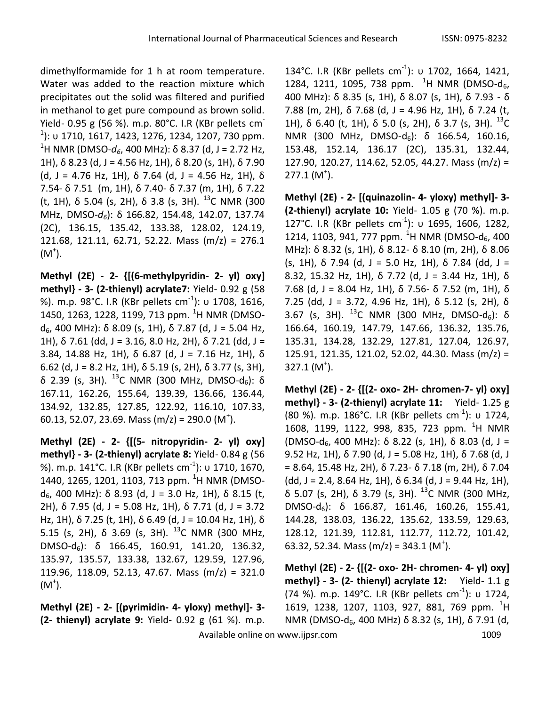dimethylformamide for 1 h at room temperature. Water was added to the reaction mixture which precipitates out the solid was filtered and purified in methanol to get pure compound as brown solid. Yield- 0.95 g (56 %). m.p. 80°C. I.R (KBr pellets cm- $^{1}$ ): υ 1710, 1617, 1423, 1276, 1234, 1207, 730 ppm. <sup>1</sup>H NMR (DMSO- $d_6$ , 400 MHz): δ 8.37 (d, J = 2.72 Hz, 1H), δ 8.23 (d, J = 4.56 Hz, 1H), δ 8.20 (s, 1H), δ 7.90 (d, J = 4.76 Hz, 1H), δ 7.64 (d, J = 4.56 Hz, 1H), δ 7.54- δ 7.51 (m, 1H), δ 7.40- δ 7.37 (m, 1H), δ 7.22 (t, 1H), δ 5.04 (s, 2H), δ 3.8 (s, 3H).  $^{13}$ C NMR (300 MHz, DMSO-*d6*): δ 166.82, 154.48, 142.07, 137.74 (2C), 136.15, 135.42, 133.38, 128.02, 124.19, 121.68, 121.11, 62.71, 52.22. Mass (m/z) = 276.1  $(M^{\dagger})$ .

**Methyl (2E) - 2- {[(6-methylpyridin- 2- yl) oxy] methyl} - 3- (2-thienyl) acrylate7:** Yield- 0.92 g (58 %). m.p. 98°C. I.R (KBr pellets cm<sup>-1</sup>): υ 1708, 1616, 1450, 1263, 1228, 1199, 713 ppm. <sup>1</sup>H NMR (DMSO $d_6$ , 400 MHz): δ 8.09 (s, 1H), δ 7.87 (d, J = 5.04 Hz, 1H),  $\delta$  7.61 (dd, J = 3.16, 8.0 Hz, 2H),  $\delta$  7.21 (dd, J = 3.84, 14.88 Hz, 1H), δ 6.87 (d, J = 7.16 Hz, 1H), δ 6.62 (d, J = 8.2 Hz, 1H), δ 5.19 (s, 2H), δ 3.77 (s, 3H), δ 2.39 (s, 3H). <sup>13</sup>C NMR (300 MHz, DMSO-d<sub>6</sub>): δ 167.11, 162.26, 155.64, 139.39, 136.66, 136.44, 134.92, 132.85, 127.85, 122.92, 116.10, 107.33, 60.13, 52.07, 23.69. Mass (m/z) = 290.0 (M<sup>+</sup>).

**Methyl (2E) - 2- {[(5- nitropyridin- 2- yl) oxy] methyl} - 3- (2-thienyl) acrylate 8:** Yield- 0.84 g (56 %). m.p. 141°C. I.R (KBr pellets cm<sup>-1</sup>): υ 1710, 1670, 1440, 1265, 1201, 1103, 713 ppm. <sup>1</sup>H NMR (DMSOd<sub>6</sub>, 400 MHz): δ 8.93 (d, J = 3.0 Hz, 1H), δ 8.15 (t, 2H), δ 7.95 (d, J = 5.08 Hz, 1H), δ 7.71 (d, J = 3.72 Hz, 1H), δ 7.25 (t, 1H), δ 6.49 (d, J = 10.04 Hz, 1H), δ 5.15 (s, 2H),  $\delta$  3.69 (s, 3H). <sup>13</sup>C NMR (300 MHz, DMSO-d<sub>6</sub>): δ 166.45, 160.91, 141.20, 136.32, 135.97, 135.57, 133.38, 132.67, 129.59, 127.96, 119.96, 118.09, 52.13, 47.67. Mass (m/z) = 321.0  $(M^{\dagger})$ .

**Methyl (2E) - 2- [(pyrimidin- 4- yloxy) methyl]- 3- (2- thienyl) acrylate 9:** Yield- 0.92 g (61 %). m.p.

134°C. I.R (KBr pellets cm<sup>-1</sup>): υ 1702, 1664, 1421, 1284, 1211, 1095, 738 ppm.  $^{1}$ H NMR (DMSO-d<sub>6</sub>, 400 MHz): δ 8.35 (s, 1H), δ 8.07 (s, 1H), δ 7.93 - δ 7.88 (m, 2H), δ 7.68 (d, J = 4.96 Hz, 1H), δ 7.24 (t, 1H), δ 6.40 (t, 1H), δ 5.0 (s, 2H), δ 3.7 (s, 3H).  $^{13}$ C NMR (300 MHz, DMSO-d<sub>6</sub>): δ 166.54, 160.16, 153.48, 152.14, 136.17 (2C), 135.31, 132.44, 127.90, 120.27, 114.62, 52.05, 44.27. Mass (m/z) =  $277.1 (M<sup>+</sup>).$ 

**Methyl (2E) - 2- [(quinazolin- 4- yloxy) methyl]- 3- (2-thienyl) acrylate 10:** Yield- 1.05 g (70 %). m.p. 127°C. I.R (KBr pellets cm<sup>-1</sup>): υ 1695, 1606, 1282, 1214, 1103, 941, 777 ppm. <sup>1</sup>H NMR (DMSO-d<sub>6</sub>, 400 MHz): δ 8.32 (s, 1H), δ 8.12- δ 8.10 (m, 2H), δ 8.06 (s, 1H),  $\delta$  7.94 (d, J = 5.0 Hz, 1H),  $\delta$  7.84 (dd, J = 8.32, 15.32 Hz, 1H), δ 7.72 (d, J = 3.44 Hz, 1H), δ 7.68 (d, J = 8.04 Hz, 1H), δ 7.56- δ 7.52 (m, 1H), δ 7.25 (dd, J = 3.72, 4.96 Hz, 1H), δ 5.12 (s, 2H), δ 3.67 (s, 3H).  $^{13}$ C NMR (300 MHz, DMSO-d6):  $\delta$ 166.64, 160.19, 147.79, 147.66, 136.32, 135.76, 135.31, 134.28, 132.29, 127.81, 127.04, 126.97, 125.91, 121.35, 121.02, 52.02, 44.30. Mass (m/z) =  $327.1 (M<sup>+</sup>).$ 

**Methyl (2E) - 2- {[(2- oxo- 2H- chromen-7- yl) oxy] methyl} - 3- (2-thienyl) acrylate 11:** Yield- 1.25 g (80 %). m.p. 186°C. I.R (KBr pellets cm<sup>-1</sup>): υ 1724, 1608, 1199, 1122, 998, 835, 723 ppm. <sup>1</sup>H NMR (DMSO-d<sub>6</sub>, 400 MHz): δ 8.22 (s, 1H), δ 8.03 (d, J = 9.52 Hz, 1H), δ 7.90 (d, J = 5.08 Hz, 1H), δ 7.68 (d, J = 8.64, 15.48 Hz, 2H), δ 7.23- δ 7.18 (m, 2H), δ 7.04 (dd, J = 2.4, 8.64 Hz, 1H),  $\delta$  6.34 (d, J = 9.44 Hz, 1H), δ 5.07 (s, 2H), δ 3.79 (s, 3H). <sup>13</sup>C NMR (300 MHz, DMSO-d<sub>6</sub>): δ 166.87, 161.46, 160.26, 155.41, 144.28, 138.03, 136.22, 135.62, 133.59, 129.63, 128.12, 121.39, 112.81, 112.77, 112.72, 101.42, 63.32, 52.34. Mass (m/z) = 343.1 (M<sup>+</sup>).

**Methyl (2E) - 2- {[(2- oxo- 2H- chromen- 4- yl) oxy] methyl} - 3- (2- thienyl) acrylate 12:** Yield- 1.1 g (74 %). m.p. 149°C. I.R (KBr pellets cm<sup>-1</sup>): υ 1724, 1619, 1238, 1207, 1103, 927, 881, 769 ppm. <sup>1</sup>H NMR (DMSO-d<sub>6</sub>, 400 MHz) δ 8.32 (s, 1H), δ 7.91 (d,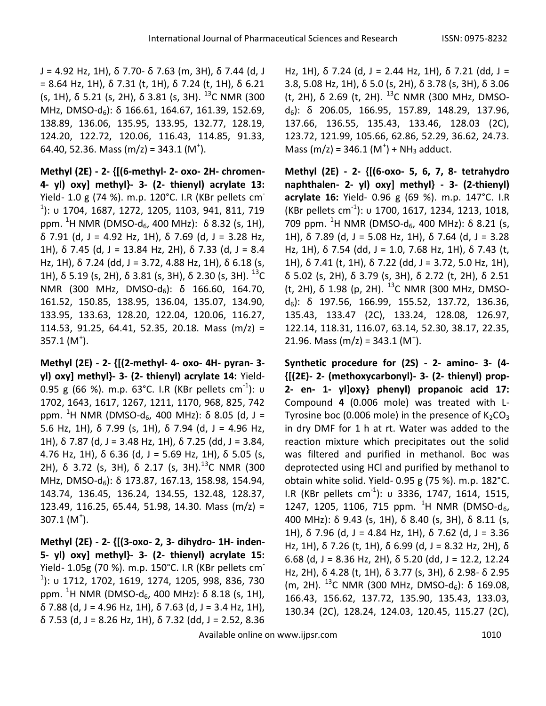J = 4.92 Hz, 1H), δ 7.70- δ 7.63 (m, 3H), δ 7.44 (d, J = 8.64 Hz, 1H), δ 7.31 (t, 1H), δ 7.24 (t, 1H), δ 6.21 (s, 1H), δ 5.21 (s, 2H), δ 3.81 (s, 3H).  $^{13}$ C NMR (300 MHz, DMSO-d6): δ 166.61, 164.67, 161.39, 152.69, 138.89, 136.06, 135.95, 133.95, 132.77, 128.19, 124.20, 122.72, 120.06, 116.43, 114.85, 91.33, 64.40, 52.36. Mass (m/z) = 343.1 (M<sup>+</sup>).

**Methyl (2E) - 2- {[(6-methyl- 2- oxo- 2H- chromen-4- yl) oxy] methyl}- 3- (2- thienyl) acrylate 13:** Yield- 1.0 g (74 %). m.p. 120°C. I.R (KBr pellets cm-1 ): υ 1704, 1687, 1272, 1205, 1103, 941, 811, 719 ppm. <sup>1</sup>H NMR (DMSO-d6, 400 MHz): δ 8.32 (s, 1H), δ 7.91 (d, J = 4.92 Hz, 1H), δ 7.69 (d, J = 3.28 Hz, 1H),  $\delta$  7.45 (d, J = 13.84 Hz, 2H),  $\delta$  7.33 (d, J = 8.4 Hz, 1H), δ 7.24 (dd, J = 3.72, 4.88 Hz, 1H), δ 6.18 (s, 1H), δ 5.19 (s, 2H), δ 3.81 (s, 3H), δ 2.30 (s, 3H).  $^{13}$ C NMR (300 MHz, DMSO-d<sub>6</sub>): δ 166.60, 164.70, 161.52, 150.85, 138.95, 136.04, 135.07, 134.90, 133.95, 133.63, 128.20, 122.04, 120.06, 116.27, 114.53, 91.25, 64.41, 52.35, 20.18. Mass (m/z) =  $357.1 (M<sup>+</sup>).$ 

**Methyl (2E) - 2- {[(2-methyl- 4- oxo- 4H- pyran- 3 yl) oxy] methyl}- 3- (2- thienyl) acrylate 14:** Yield-0.95 g (66 %). m.p. 63°C. I.R (KBr pellets cm $^{-1}$ ): υ 1702, 1643, 1617, 1267, 1211, 1170, 968, 825, 742 ppm. <sup>1</sup>H NMR (DMSO-d<sub>6</sub>, 400 MHz): δ 8.05 (d, J = 5.6 Hz, 1H), δ 7.99 (s, 1H), δ 7.94 (d, J = 4.96 Hz, 1H),  $\delta$  7.87 (d, J = 3.48 Hz, 1H),  $\delta$  7.25 (dd, J = 3.84, 4.76 Hz, 1H), δ 6.36 (d, J = 5.69 Hz, 1H), δ 5.05 (s, 2H),  $\delta$  3.72 (s, 3H),  $\delta$  2.17 (s, 3H).<sup>13</sup>C NMR (300 MHz, DMSO-d6): δ 173.87, 167.13, 158.98, 154.94, 143.74, 136.45, 136.24, 134.55, 132.48, 128.37, 123.49, 116.25, 65.44, 51.98, 14.30. Mass (m/z) =  $307.1 (M<sup>+</sup>).$ 

**Methyl (2E) - 2- {[(3-oxo- 2, 3- dihydro- 1H- inden-5- yl) oxy] methyl}- 3- (2- thienyl) acrylate 15:** Yield- 1.05g (70 %). m.p. 150°C. I.R (KBr pellets cm-1 ): υ 1712, 1702, 1619, 1274, 1205, 998, 836, 730 ppm. <sup>1</sup>H NMR (DMSO-d<sub>6</sub>, 400 MHz): δ 8.18 (s, 1H), δ 7.88 (d, J = 4.96 Hz, 1H), δ 7.63 (d, J = 3.4 Hz, 1H), δ 7.53 (d, J = 8.26 Hz, 1H), δ 7.32 (dd, J = 2.52, 8.36

Hz, 1H), δ 7.24 (d, J = 2.44 Hz, 1H), δ 7.21 (dd, J = 3.8, 5.08 Hz, 1H), δ 5.0 (s, 2H), δ 3.78 (s, 3H), δ 3.06 (t, 2H),  $\delta$  2.69 (t, 2H). <sup>13</sup>C NMR (300 MHz, DMSO $d<sub>6</sub>$ ): δ 206.05, 166.95, 157.89, 148.29, 137.96, 137.66, 136.55, 135.43, 133.46, 128.03 (2C), 123.72, 121.99, 105.66, 62.86, 52.29, 36.62, 24.73. Mass  $(m/z) = 346.1 (M<sup>+</sup>) + NH<sub>3</sub>$  adduct.

**Methyl (2E) - 2- {[(6-oxo- 5, 6, 7, 8- tetrahydro naphthalen- 2- yl) oxy] methyl} - 3- (2-thienyl) acrylate 16:** Yield- 0.96 g (69 %). m.p. 147°C. I.R (KBr pellets cm-1 ): υ 1700, 1617, 1234, 1213, 1018, 709 ppm. <sup>1</sup>H NMR (DMSO-d<sub>6</sub>, 400 MHz): δ 8.21 (s, 1H),  $\delta$  7.89 (d, J = 5.08 Hz, 1H),  $\delta$  7.64 (d, J = 3.28 Hz, 1H), δ 7.54 (dd, J = 1.0, 7.68 Hz, 1H), δ 7.43 (t, 1H), δ 7.41 (t, 1H), δ 7.22 (dd, J = 3.72, 5.0 Hz, 1H), δ 5.02 (s, 2H), δ 3.79 (s, 3H), δ 2.72 (t, 2H), δ 2.51 (t, 2H),  $\delta$  1.98 (p, 2H). <sup>13</sup>C NMR (300 MHz, DMSOd6): δ 197.56, 166.99, 155.52, 137.72, 136.36, 135.43, 133.47 (2C), 133.24, 128.08, 126.97, 122.14, 118.31, 116.07, 63.14, 52.30, 38.17, 22.35, 21.96. Mass (m/z) = 343.1 (M<sup>+</sup>).

**Synthetic procedure for (2S) - 2- amino- 3- (4- {[(2E)- 2- (methoxycarbonyl)- 3- (2- thienyl) prop-2- en- 1- yl]oxy} phenyl) propanoic acid 17:** Compound **4** (0.006 mole) was treated with L-Tyrosine boc (0.006 mole) in the presence of  $K_2CO_3$ in dry DMF for 1 h at rt. Water was added to the reaction mixture which precipitates out the solid was filtered and purified in methanol. Boc was deprotected using HCl and purified by methanol to obtain white solid. Yield- 0.95 g (75 %). m.p. 182°C. Ι.R (KBr pellets cm<sup>-1</sup>): υ 3336, 1747, 1614, 1515, 1247, 1205, 1106, 715 ppm.  $^{1}$ H NMR (DMSO-d<sub>6</sub>, 400 MHz): δ 9.43 (s, 1H), δ 8.40 (s, 3H), δ 8.11 (s, 1H),  $\delta$  7.96 (d, J = 4.84 Hz, 1H),  $\delta$  7.62 (d, J = 3.36 Hz, 1H),  $\delta$  7.26 (t, 1H),  $\delta$  6.99 (d, J = 8.32 Hz, 2H),  $\delta$ 6.68 (d, J = 8.36 Hz, 2H),  $\delta$  5.20 (dd, J = 12.2, 12.24 Hz, 2H), δ 4.28 (t, 1H), δ 3.77 (s, 3H), δ 2.98- δ 2.95 (m, 2H).  $^{13}$ C NMR (300 MHz, DMSO-d<sub>6</sub>): δ 169.08, 166.43, 156.62, 137.72, 135.90, 135.43, 133.03, 130.34 (2C), 128.24, 124.03, 120.45, 115.27 (2C),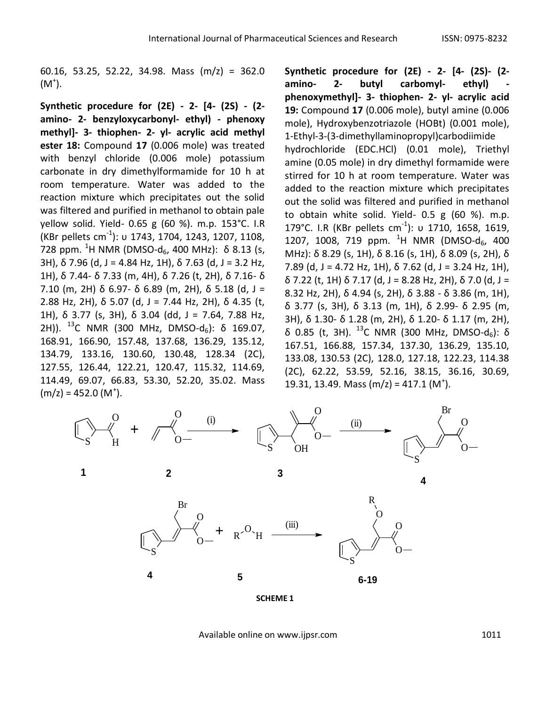60.16, 53.25, 52.22, 34.98. Mass (m/z) = 362.0  $(M^{\dagger})$ .

**Synthetic procedure for (2E) - 2- [4- (2S) - (2 amino- 2- benzyloxycarbonyl- ethyl) - phenoxy methyl]- 3- thiophen- 2- yl- acrylic acid methyl ester 18:** Compound **17** (0.006 mole) was treated with benzyl chloride (0.006 mole) potassium carbonate in dry dimethylformamide for 10 h at room temperature. Water was added to the reaction mixture which precipitates out the solid was filtered and purified in methanol to obtain pale yellow solid. Yield- 0.65 g (60 %). m.p. 153°C. I.R (KBr pellets cm-1 ): υ 1743, 1704, 1243, 1207, 1108, 728 ppm. <sup>1</sup>H NMR (DMSO-d<sub>6</sub>, 400 MHz): δ 8.13 (s, 3H),  $\delta$  7.96 (d, J = 4.84 Hz, 1H),  $\delta$  7.63 (d, J = 3.2 Hz, 1H), δ 7.44- δ 7.33 (m, 4H), δ 7.26 (t, 2H), δ 7.16- δ 7.10 (m, 2H) δ 6.97- δ 6.89 (m, 2H), δ 5.18 (d, J = 2.88 Hz, 2H), δ 5.07 (d, J = 7.44 Hz, 2H), δ 4.35 (t, 1H), δ 3.77 (s, 3H), δ 3.04 (dd, J = 7.64, 7.88 Hz, 2H)).  $^{13}$ C NMR (300 MHz, DMSO-d<sub>6</sub>): δ 169.07, 168.91, 166.90, 157.48, 137.68, 136.29, 135.12, 134.79, 133.16, 130.60, 130.48, 128.34 (2C), 127.55, 126.44, 122.21, 120.47, 115.32, 114.69, 114.49, 69.07, 66.83, 53.30, 52.20, 35.02. Mass  $(m/z) = 452.0 (M<sup>+</sup>).$ 

**Synthetic procedure for (2E) - 2- [4- (2S)- (2 amino- 2- butyl carbomyl- ethyl) phenoxymethyl]- 3- thiophen- 2- yl- acrylic acid 19:** Compound **17** (0.006 mole), butyl amine (0.006 mole), Hydroxybenzotriazole (HOBt) (0.001 mole), 1-Ethyl-3-(3-dimethyllaminopropyl)carbodiimide hydrochloride (EDC.HCl) (0.01 mole), Triethyl amine (0.05 mole) in dry dimethyl formamide were stirred for 10 h at room temperature. Water was added to the reaction mixture which precipitates out the solid was filtered and purified in methanol to obtain white solid. Yield- 0.5 g (60 %). m.p. 179°C. I.R (KBr pellets cm<sup>-1</sup>): υ 1710, 1658, 1619, 1207, 1008, 719 ppm.  $^{1}$ H NMR (DMSO-d<sub>6</sub>, 400 MHz): δ 8.29 (s, 1H), δ 8.16 (s, 1H), δ 8.09 (s, 2H), δ 7.89 (d, J = 4.72 Hz, 1H),  $\delta$  7.62 (d, J = 3.24 Hz, 1H), δ 7.22 (t, 1H) δ 7.17 (d, J = 8.28 Hz, 2H), δ 7.0 (d, J = 8.32 Hz, 2H), δ 4.94 (s, 2H), δ 3.88 - δ 3.86 (m, 1H), δ 3.77 (s, 3H), δ 3.13 (m, 1H), δ 2.99- δ 2.95 (m, 3H), δ 1.30- δ 1.28 (m, 2H), δ 1.20- δ 1.17 (m, 2H), δ 0.85 (t, 3H). <sup>13</sup>C NMR (300 MHz, DMSO-d<sub>6</sub>): δ 167.51, 166.88, 157.34, 137.30, 136.29, 135.10, 133.08, 130.53 (2C), 128.0, 127.18, 122.23, 114.38 (2C), 62.22, 53.59, 52.16, 38.15, 36.16, 30.69, 19.31, 13.49. Mass (m/z) = 417.1 (M<sup>+</sup>).

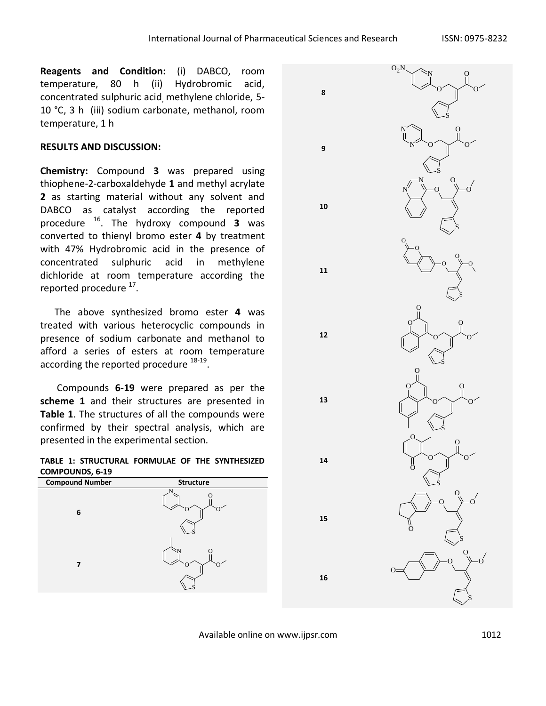**8**

**9**

**10**

**11**

**12**

**13**

**14**

**15**

**16**

**Reagents and Condition:** (i) DABCO, room temperature, 80 h (ii) Hydrobromic acid, concentrated sulphuric acid, methylene chloride, 5- 10 °C, 3 h (iii) sodium carbonate, methanol, room temperature, 1 h

# **RESULTS AND DISCUSSION:**

**Chemistry:** Compound **3** was prepared using thiophene-2-carboxaldehyde **1** and methyl acrylate **2** as starting material without any solvent and DABCO as catalyst according the reported procedure <sup>16</sup>. The hydroxy compound **3** was converted to thienyl bromo ester **4** by treatment with 47% Hydrobromic acid in the presence of concentrated sulphuric acid in methylene dichloride at room temperature according the reported procedure <sup>17</sup>.

 The above synthesized bromo ester **4** was treated with various heterocyclic compounds in presence of sodium carbonate and methanol to afford a series of esters at room temperature according the reported procedure  $^{18-19}$ .

 Compounds **6-19** were prepared as per the **scheme 1** and their structures are presented in **Table 1**. The structures of all the compounds were confirmed by their spectral analysis, which are presented in the experimental section.

**TABLE 1: STRUCTURAL FORMULAE OF THE SYNTHESIZED COMPOUNDS, 6-19**



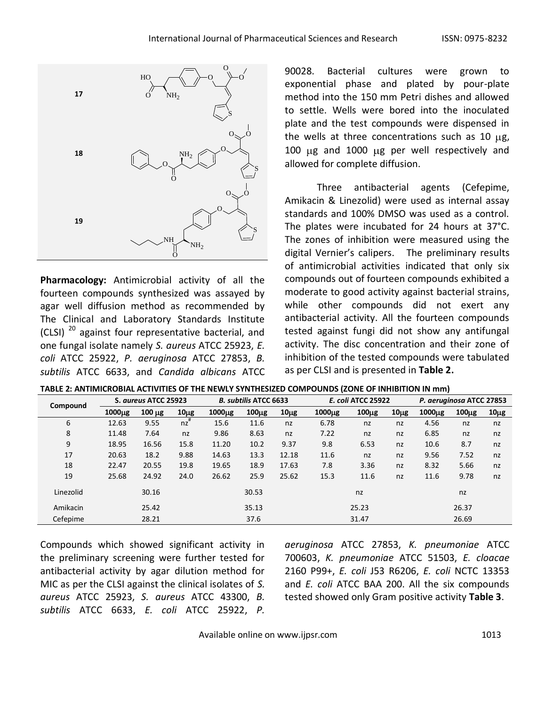

**Pharmacology:** Antimicrobial activity of all the fourteen compounds synthesized was assayed by agar well diffusion method as recommended by The Clinical and Laboratory Standards Institute (CLSI) <sup>20</sup> against four representative bacterial, and one fungal isolate namely *S. aureus* ATCC 25923, *E. coli* ATCC 25922, *P. aeruginosa* ATCC 27853, *B. subtilis* ATCC 6633, and *Candida albicans* ATCC

90028. Bacterial cultures were grown to exponential phase and plated by pour-plate method into the 150 mm Petri dishes and allowed to settle. Wells were bored into the inoculated plate and the test compounds were dispensed in the wells at three concentrations such as 10  $\mu$ g, 100  $\mu$ g and 1000  $\mu$ g per well respectively and allowed for complete diffusion.

Three antibacterial agents (Cefepime, Amikacin & Linezolid) were used as internal assay standards and 100% DMSO was used as a control. The plates were incubated for 24 hours at 37°C. The zones of inhibition were measured using the digital Vernier's calipers. The preliminary results of antimicrobial activities indicated that only six compounds out of fourteen compounds exhibited a moderate to good activity against bacterial strains, while other compounds did not exert any antibacterial activity. All the fourteen compounds tested against fungi did not show any antifungal activity. The disc concentration and their zone of inhibition of the tested compounds were tabulated as per CLSI and is presented in **Table 2.**

|  | TABLE 2: ANTIMICROBIAL ACTIVITIES OF THE NEWLY SYNTHESIZED COMPOUNDS (ZONE OF INHIBITION IN mm) |
|--|-------------------------------------------------------------------------------------------------|
|  |                                                                                                 |

| Compound  | S. aureus ATCC 25923 |             | <b>B. subtilis ATCC 6633</b> |                    | <b>E. coli ATCC 25922</b> |           | P. aeruginosa ATCC 27853 |                   |          |                    |           |           |
|-----------|----------------------|-------------|------------------------------|--------------------|---------------------------|-----------|--------------------------|-------------------|----------|--------------------|-----------|-----------|
|           | 1000 <sub>µg</sub>   | $100 \mu g$ | $10\mu g$                    | 1000 <sub>µg</sub> | 100 <sub>µg</sub>         | $10\mu g$ | 1000 <sub>µg</sub>       | 100 <sub>µg</sub> | $10\mug$ | 1000 <sub>µg</sub> | $100\mug$ | $10\mu g$ |
| 6         | 12.63                | 9.55        | nz                           | 15.6               | 11.6                      | nz        | 6.78                     | nz                | nz       | 4.56               | nz        | nz        |
| 8         | 11.48                | 7.64        | nz                           | 9.86               | 8.63                      | nz        | 7.22                     | nz                | nz       | 6.85               | nz        | nz        |
| 9         | 18.95                | 16.56       | 15.8                         | 11.20              | 10.2                      | 9.37      | 9.8                      | 6.53              | nz       | 10.6               | 8.7       | nz        |
| 17        | 20.63                | 18.2        | 9.88                         | 14.63              | 13.3                      | 12.18     | 11.6                     | nz                | nz       | 9.56               | 7.52      | nz        |
| 18        | 22.47                | 20.55       | 19.8                         | 19.65              | 18.9                      | 17.63     | 7.8                      | 3.36              | nz       | 8.32               | 5.66      | nz        |
| 19        | 25.68                | 24.92       | 24.0                         | 26.62              | 25.9                      | 25.62     | 15.3                     | 11.6              | nz       | 11.6               | 9.78      | nz        |
| Linezolid |                      | 30.16       |                              |                    | 30.53                     |           |                          | nz                |          |                    | nz        |           |
| Amikacin  |                      | 25.42       |                              |                    | 35.13                     |           |                          | 25.23             |          |                    | 26.37     |           |
| Cefepime  |                      | 28.21       |                              |                    | 37.6                      |           |                          | 31.47             |          |                    | 26.69     |           |

Compounds which showed significant activity in the preliminary screening were further tested for antibacterial activity by agar dilution method for MIC as per the CLSI against the clinical isolates of *S. aureus* ATCC 25923, *S. aureus* ATCC 43300, *B. subtilis* ATCC 6633, *E. coli* ATCC 25922, *P.*  *aeruginosa* ATCC 27853, *K. pneumoniae* ATCC 700603, *K. pneumoniae* ATCC 51503, *E. cloacae* 2160 P99+, *E. coli* J53 R6206, *E. coli* NCTC 13353 and *E. coli* ATCC BAA 200. All the six compounds tested showed only Gram positive activity **Table 3**.